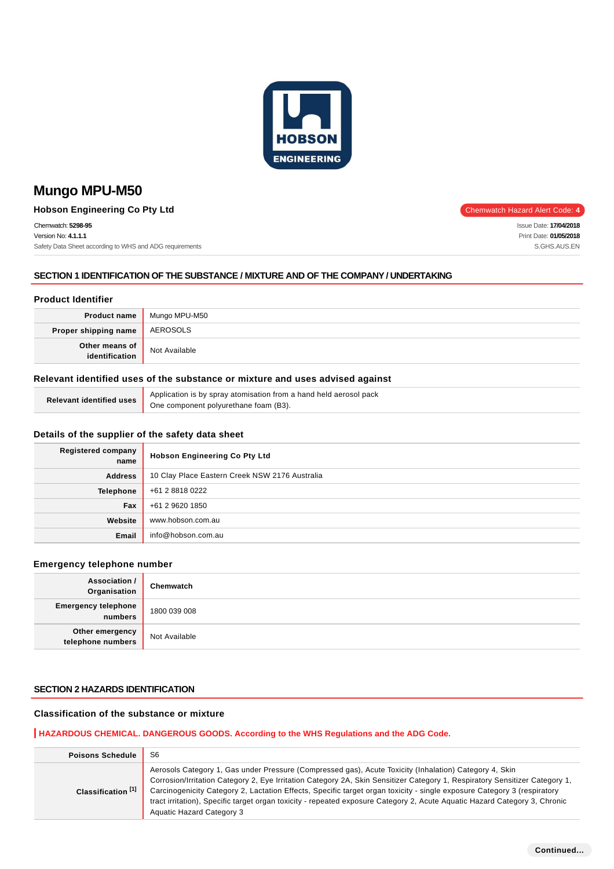

**Hobson Engineering Co Pty Ltd** Chemwatch Hazard Alert Code: 4

Chemwatch: **5298-95** Version No: **4.1.1.1** Safety Data Sheet according to WHS and ADG requirements

## **SECTION 1 IDENTIFICATION OF THE SUBSTANCE / MIXTURE AND OF THE COMPANY / UNDERTAKING**

### **Product Identifier**

|                                  | <b>Product name</b> Mungo MPU-M50 |
|----------------------------------|-----------------------------------|
| Proper shipping name             | AEROSOLS                          |
| Other means of<br>identification | Not Available                     |

## **Relevant identified uses of the substance or mixture and uses advised against**

|  | Application is by spray atomisation from a hand held aerosol pack               |
|--|---------------------------------------------------------------------------------|
|  | $\alpha$ relevant identified uses $\alpha$ One component polyurethane foam (B3) |

#### **Details of the supplier of the safety data sheet**

| <b>Registered company</b><br>name | <b>Hobson Engineering Co Pty Ltd</b>           |
|-----------------------------------|------------------------------------------------|
| <b>Address</b>                    | 10 Clay Place Eastern Creek NSW 2176 Australia |
| <b>Telephone</b>                  | +61 2 8818 0222                                |
| Fax                               | +61 2 9620 1850                                |
| Website                           | www.hobson.com.au                              |
| Email                             | info@hobson.com.au                             |

#### **Emergency telephone number**

| Association /<br>Organisation         | Chemwatch     |
|---------------------------------------|---------------|
| <b>Emergency telephone</b><br>numbers | 1800 039 008  |
| Other emergency<br>telephone numbers  | Not Available |

### **SECTION 2 HAZARDS IDENTIFICATION**

## **Classification of the substance or mixture**

### **HAZARDOUS CHEMICAL. DANGEROUS GOODS. According to the WHS Regulations and the ADG Code.**

| <b>Poisons Schedule</b>       | S <sub>6</sub>                                                                                                                                                                                                                                                                                                                                                                                                                                                                                                                     |
|-------------------------------|------------------------------------------------------------------------------------------------------------------------------------------------------------------------------------------------------------------------------------------------------------------------------------------------------------------------------------------------------------------------------------------------------------------------------------------------------------------------------------------------------------------------------------|
| Classification <sup>[1]</sup> | Aerosols Category 1, Gas under Pressure (Compressed gas), Acute Toxicity (Inhalation) Category 4, Skin<br>Corrosion/Irritation Category 2, Eye Irritation Category 2A, Skin Sensitizer Category 1, Respiratory Sensitizer Category 1,<br>Carcinogenicity Category 2, Lactation Effects, Specific target organ toxicity - single exposure Category 3 (respiratory<br>tract irritation), Specific target organ toxicity - repeated exposure Category 2, Acute Aquatic Hazard Category 3, Chronic<br><b>Aquatic Hazard Category 3</b> |

Issue Date: **17/04/2018** Print Date: **01/05/2018** S.GHS.AUS.EN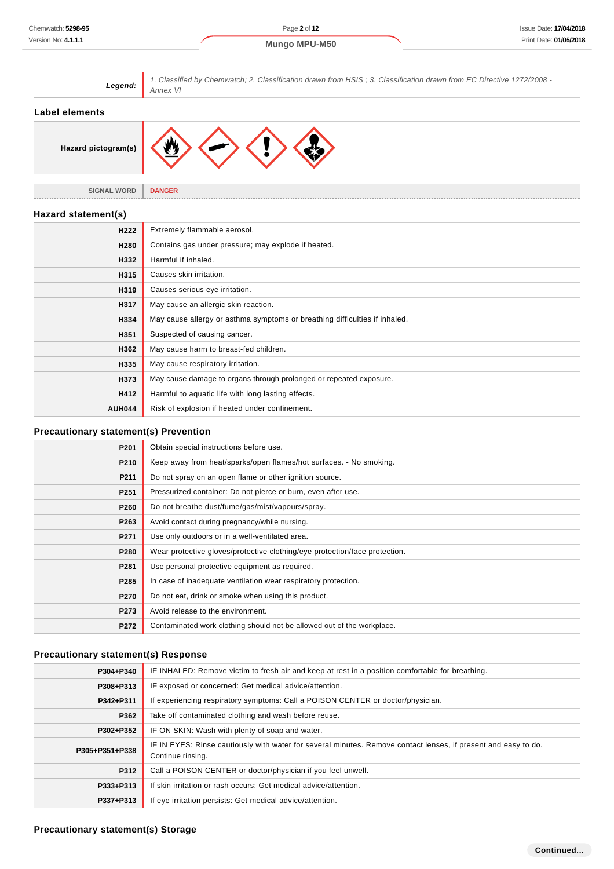| Legend:                                      | 1. Classified by Chemwatch; 2. Classification drawn from HSIS; 3. Classification drawn from EC Directive 1272/2008 -<br><b>Annex VI</b> |  |
|----------------------------------------------|-----------------------------------------------------------------------------------------------------------------------------------------|--|
| <b>Label elements</b>                        |                                                                                                                                         |  |
| Hazard pictogram(s)                          |                                                                                                                                         |  |
| <b>SIGNAL WORD</b>                           | <b>DANGER</b>                                                                                                                           |  |
| Hazard statement(s)                          |                                                                                                                                         |  |
| H <sub>222</sub>                             | Extremely flammable aerosol.                                                                                                            |  |
| H280                                         | Contains gas under pressure; may explode if heated.                                                                                     |  |
| H332                                         | Harmful if inhaled.                                                                                                                     |  |
| H315                                         | Causes skin irritation.                                                                                                                 |  |
| H319                                         | Causes serious eye irritation.                                                                                                          |  |
| H317                                         | May cause an allergic skin reaction.                                                                                                    |  |
| H334                                         | May cause allergy or asthma symptoms or breathing difficulties if inhaled.                                                              |  |
| H351                                         | Suspected of causing cancer.                                                                                                            |  |
| H362                                         | May cause harm to breast-fed children.                                                                                                  |  |
| H335                                         | May cause respiratory irritation.                                                                                                       |  |
| H373                                         | May cause damage to organs through prolonged or repeated exposure.                                                                      |  |
| H412                                         | Harmful to aquatic life with long lasting effects.                                                                                      |  |
| <b>AUH044</b>                                | Risk of explosion if heated under confinement.                                                                                          |  |
| <b>Precautionary statement(s) Prevention</b> |                                                                                                                                         |  |
| P201                                         | Obtain special instructions before use.                                                                                                 |  |
| P210                                         | Keep away from heat/sparks/open flames/hot surfaces. - No smoking.                                                                      |  |
| P211                                         | Do not spray on an open flame or other ignition source.                                                                                 |  |
| P <sub>251</sub>                             | Pressurized container: Do not pierce or burn, even after use.                                                                           |  |
| P260                                         | Do not breathe dust/fume/gas/mist/vapours/spray.                                                                                        |  |

| P <sub>260</sub> | Do not breathe dust/fume/gas/mist/vapours/spray.                           |
|------------------|----------------------------------------------------------------------------|
| P263             | Avoid contact during pregnancy/while nursing.                              |
| P271             | Use only outdoors or in a well-ventilated area.                            |
| P280             | Wear protective gloves/protective clothing/eye protection/face protection. |
| P281             | Use personal protective equipment as required.                             |
| P285             | In case of inadequate ventilation wear respiratory protection.             |
| P270             | Do not eat, drink or smoke when using this product.                        |
| P273             | Avoid release to the environment.                                          |
| P272             | Contaminated work clothing should not be allowed out of the workplace.     |

## **Precautionary statement(s) Response**

| P304+P340      | IF INHALED: Remove victim to fresh air and keep at rest in a position comfortable for breathing.                                    |  |  |
|----------------|-------------------------------------------------------------------------------------------------------------------------------------|--|--|
| P308+P313      | IF exposed or concerned: Get medical advice/attention.                                                                              |  |  |
| P342+P311      | If experiencing respiratory symptoms: Call a POISON CENTER or doctor/physician.                                                     |  |  |
| P362           | Take off contaminated clothing and wash before reuse.                                                                               |  |  |
| P302+P352      | IF ON SKIN: Wash with plenty of soap and water.                                                                                     |  |  |
| P305+P351+P338 | IF IN EYES: Rinse cautiously with water for several minutes. Remove contact lenses, if present and easy to do.<br>Continue rinsing. |  |  |
| P312           | Call a POISON CENTER or doctor/physician if you feel unwell.                                                                        |  |  |
| P333+P313      | If skin irritation or rash occurs: Get medical advice/attention.                                                                    |  |  |
| P337+P313      | If eye irritation persists: Get medical advice/attention.                                                                           |  |  |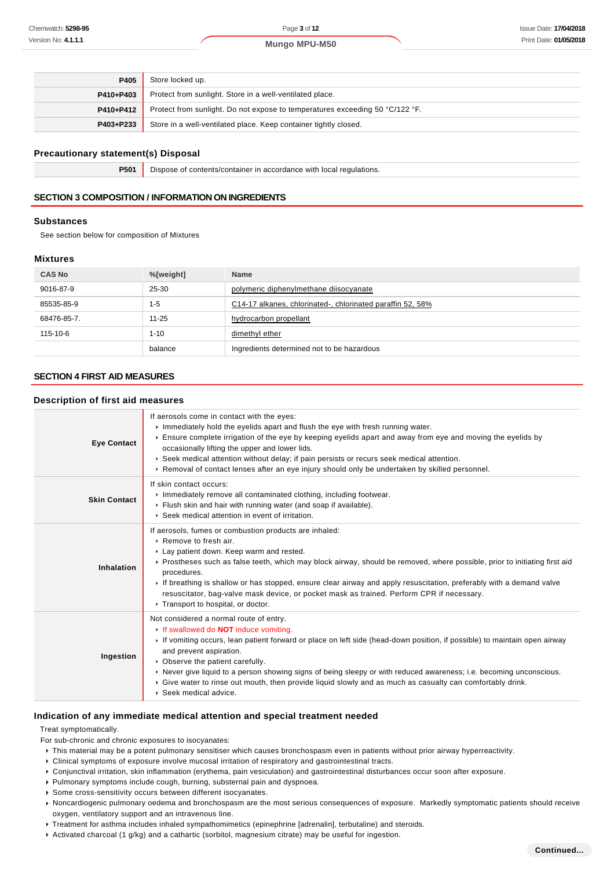| P405      | Store locked up.                                                             |
|-----------|------------------------------------------------------------------------------|
| P410+P403 | Protect from sunlight. Store in a well-ventilated place.                     |
| P410+P412 | Protect from sunlight. Do not expose to temperatures exceeding 50 °C/122 °F. |
| P403+P233 | Store in a well-ventilated place. Keep container tightly closed.             |

#### **Precautionary statement(s) Disposal**

**P501** Dispose of contents/container in accordance with local regulations.

## **SECTION 3 COMPOSITION / INFORMATION ON INGREDIENTS**

#### **Substances**

See section below for composition of Mixtures

#### **Mixtures**

| <b>CAS No</b> | %[weight] | <b>Name</b>                                                |
|---------------|-----------|------------------------------------------------------------|
| 9016-87-9     | 25-30     | polymeric diphenylmethane diisocyanate                     |
| 85535-85-9    | $1 - 5$   | C14-17 alkanes, chlorinated-, chlorinated paraffin 52, 58% |
| 68476-85-7.   | $11 - 25$ | hydrocarbon propellant                                     |
| 115-10-6      | $1 - 10$  | dimethyl ether                                             |
|               | balance   | Ingredients determined not to be hazardous                 |

#### **SECTION 4 FIRST AID MEASURES**

## **Description of first aid measures**

| <b>Eye Contact</b>  | If aerosols come in contact with the eyes:<br>Immediately hold the eyelids apart and flush the eye with fresh running water.<br>Ensure complete irrigation of the eye by keeping eyelids apart and away from eye and moving the eyelids by<br>occasionally lifting the upper and lower lids.<br>► Seek medical attention without delay; if pain persists or recurs seek medical attention.<br>► Removal of contact lenses after an eye injury should only be undertaken by skilled personnel.                                                    |
|---------------------|--------------------------------------------------------------------------------------------------------------------------------------------------------------------------------------------------------------------------------------------------------------------------------------------------------------------------------------------------------------------------------------------------------------------------------------------------------------------------------------------------------------------------------------------------|
| <b>Skin Contact</b> | If skin contact occurs:<br>Inmediately remove all contaminated clothing, including footwear.<br>Flush skin and hair with running water (and soap if available).<br>▶ Seek medical attention in event of irritation.                                                                                                                                                                                                                                                                                                                              |
| Inhalation          | If aerosols, fumes or combustion products are inhaled:<br>▶ Remove to fresh air.<br>Lay patient down. Keep warm and rested.<br>▶ Prostheses such as false teeth, which may block airway, should be removed, where possible, prior to initiating first aid<br>procedures.<br>If breathing is shallow or has stopped, ensure clear airway and apply resuscitation, preferably with a demand valve<br>resuscitator, bag-valve mask device, or pocket mask as trained. Perform CPR if necessary.<br>Transport to hospital, or doctor.                |
| Ingestion           | Not considered a normal route of entry.<br>If swallowed do <b>NOT</b> induce vomiting.<br>If vomiting occurs, lean patient forward or place on left side (head-down position, if possible) to maintain open airway<br>and prevent aspiration.<br>• Observe the patient carefully.<br>▶ Never give liquid to a person showing signs of being sleepy or with reduced awareness; i.e. becoming unconscious.<br>▶ Give water to rinse out mouth, then provide liquid slowly and as much as casualty can comfortably drink.<br>▶ Seek medical advice. |

#### **Indication of any immediate medical attention and special treatment needed**

Treat symptomatically.

- For sub-chronic and chronic exposures to isocyanates:
	- This material may be a potent pulmonary sensitiser which causes bronchospasm even in patients without prior airway hyperreactivity.
	- Clinical symptoms of exposure involve mucosal irritation of respiratory and gastrointestinal tracts.
	- Conjunctival irritation, skin inflammation (erythema, pain vesiculation) and gastrointestinal disturbances occur soon after exposure.
	- Pulmonary symptoms include cough, burning, substernal pain and dyspnoea.
	- Some cross-sensitivity occurs between different isocyanates.
	- Noncardiogenic pulmonary oedema and bronchospasm are the most serious consequences of exposure. Markedly symptomatic patients should receive oxygen, ventilatory support and an intravenous line.
	- Treatment for asthma includes inhaled sympathomimetics (epinephrine [adrenalin], terbutaline) and steroids.
	- Activated charcoal (1 g/kg) and a cathartic (sorbitol, magnesium citrate) may be useful for ingestion.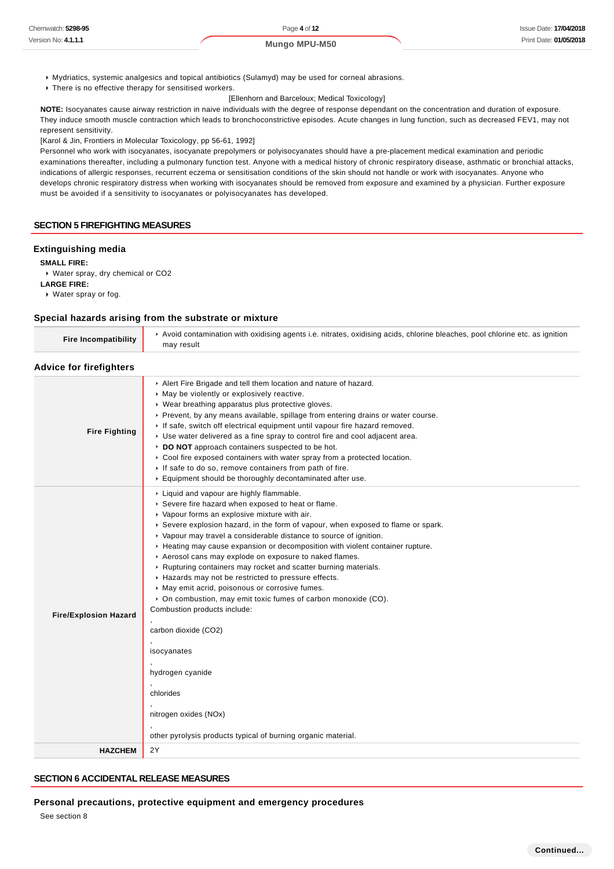- Mydriatics, systemic analgesics and topical antibiotics (Sulamyd) may be used for corneal abrasions.
- **There is no effective therapy for sensitised workers.** [Ellenhorn and Barceloux; Medical Toxicology]

**NOTE:** Isocyanates cause airway restriction in naive individuals with the degree of response dependant on the concentration and duration of exposure. They induce smooth muscle contraction which leads to bronchoconstrictive episodes. Acute changes in lung function, such as decreased FEV1, may not represent sensitivity.

[Karol & Jin, Frontiers in Molecular Toxicology, pp 56-61, 1992]

Personnel who work with isocyanates, isocyanate prepolymers or polyisocyanates should have a pre-placement medical examination and periodic examinations thereafter, including a pulmonary function test. Anyone with a medical history of chronic respiratory disease, asthmatic or bronchial attacks, indications of allergic responses, recurrent eczema or sensitisation conditions of the skin should not handle or work with isocyanates. Anyone who develops chronic respiratory distress when working with isocyanates should be removed from exposure and examined by a physician. Further exposure must be avoided if a sensitivity to isocyanates or polyisocyanates has developed.

#### **SECTION 5 FIREFIGHTING MEASURES**

#### **Extinguishing media**

**SMALL FIRE:** Water spray, dry chemical or CO2 **LARGE FIRE:**

Water spray or fog.

#### **Special hazards arising from the substrate or mixture**

| <b>Fire Incompatibility</b>    | Avoid contamination with oxidising agents i.e. nitrates, oxidising acids, chlorine bleaches, pool chlorine etc. as ignition<br>may result |  |
|--------------------------------|-------------------------------------------------------------------------------------------------------------------------------------------|--|
| <b>Advice for firefighters</b> |                                                                                                                                           |  |

| <b>Fire Fighting</b>         | Alert Fire Brigade and tell them location and nature of hazard.<br>• May be violently or explosively reactive.<br>• Wear breathing apparatus plus protective gloves.<br>Prevent, by any means available, spillage from entering drains or water course.<br>If safe, switch off electrical equipment until vapour fire hazard removed.<br>► Use water delivered as a fine spray to control fire and cool adjacent area.<br>DO NOT approach containers suspected to be hot.<br>Cool fire exposed containers with water spray from a protected location.<br>If safe to do so, remove containers from path of fire.<br>Equipment should be thoroughly decontaminated after use.                                                                                                                                                                                                                          |
|------------------------------|------------------------------------------------------------------------------------------------------------------------------------------------------------------------------------------------------------------------------------------------------------------------------------------------------------------------------------------------------------------------------------------------------------------------------------------------------------------------------------------------------------------------------------------------------------------------------------------------------------------------------------------------------------------------------------------------------------------------------------------------------------------------------------------------------------------------------------------------------------------------------------------------------|
| <b>Fire/Explosion Hazard</b> | ▶ Liquid and vapour are highly flammable.<br>Severe fire hazard when exposed to heat or flame.<br>• Vapour forms an explosive mixture with air.<br>▶ Severe explosion hazard, in the form of vapour, when exposed to flame or spark.<br>• Vapour may travel a considerable distance to source of ignition.<br>▶ Heating may cause expansion or decomposition with violent container rupture.<br>Aerosol cans may explode on exposure to naked flames.<br>▶ Rupturing containers may rocket and scatter burning materials.<br>Hazards may not be restricted to pressure effects.<br>May emit acrid, poisonous or corrosive fumes.<br>• On combustion, may emit toxic fumes of carbon monoxide (CO).<br>Combustion products include:<br>carbon dioxide (CO2)<br>isocyanates<br>hydrogen cyanide<br>chlorides<br>nitrogen oxides (NOx)<br>other pyrolysis products typical of burning organic material. |
| <b>HAZCHEM</b>               | 2Y                                                                                                                                                                                                                                                                                                                                                                                                                                                                                                                                                                                                                                                                                                                                                                                                                                                                                                   |
|                              |                                                                                                                                                                                                                                                                                                                                                                                                                                                                                                                                                                                                                                                                                                                                                                                                                                                                                                      |

#### **SECTION 6 ACCIDENTAL RELEASE MEASURES**

**Personal precautions, protective equipment and emergency procedures**

See section 8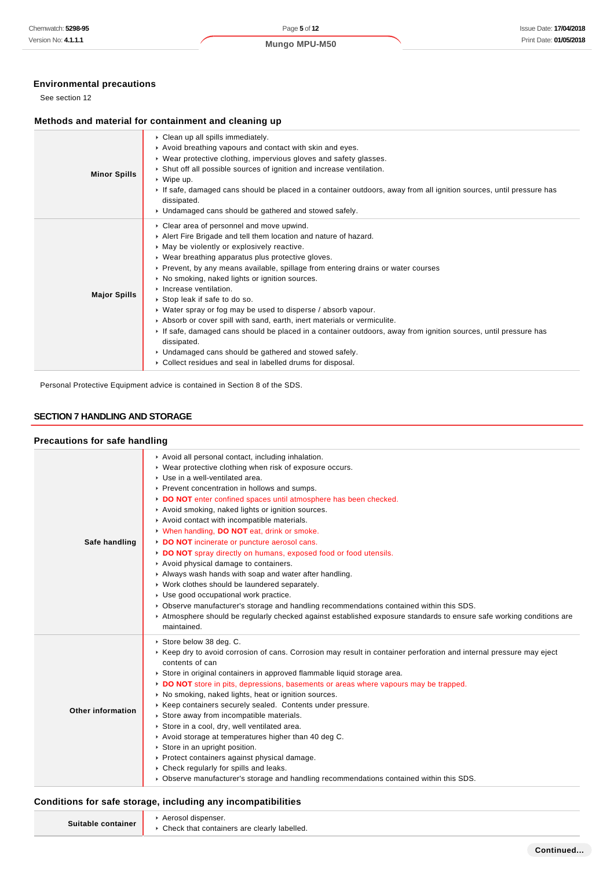## **Environmental precautions**

See section 12

## **Methods and material for containment and cleaning up**

| <b>Minor Spills</b> | Clean up all spills immediately.<br>Avoid breathing vapours and contact with skin and eyes.<br>▶ Wear protective clothing, impervious gloves and safety glasses.<br>Shut off all possible sources of ignition and increase ventilation.<br>$\triangleright$ Wipe up.<br>If safe, damaged cans should be placed in a container outdoors, away from all ignition sources, until pressure has<br>dissipated.<br>• Undamaged cans should be gathered and stowed safely.                                                                                                                                                                                                                                                                                                                                                                       |
|---------------------|-------------------------------------------------------------------------------------------------------------------------------------------------------------------------------------------------------------------------------------------------------------------------------------------------------------------------------------------------------------------------------------------------------------------------------------------------------------------------------------------------------------------------------------------------------------------------------------------------------------------------------------------------------------------------------------------------------------------------------------------------------------------------------------------------------------------------------------------|
| <b>Major Spills</b> | • Clear area of personnel and move upwind.<br>Alert Fire Brigade and tell them location and nature of hazard.<br>• May be violently or explosively reactive.<br>• Wear breathing apparatus plus protective gloves.<br>▶ Prevent, by any means available, spillage from entering drains or water courses<br>• No smoking, naked lights or ignition sources.<br>$\triangleright$ Increase ventilation.<br>Stop leak if safe to do so.<br>• Water spray or fog may be used to disperse / absorb vapour.<br>Absorb or cover spill with sand, earth, inert materials or vermiculite.<br>If safe, damaged cans should be placed in a container outdoors, away from ignition sources, until pressure has<br>dissipated.<br>• Undamaged cans should be gathered and stowed safely.<br>• Collect residues and seal in labelled drums for disposal. |

Personal Protective Equipment advice is contained in Section 8 of the SDS.

### **SECTION 7 HANDLING AND STORAGE**

## **Precautions for safe handling**

| Safe handling            | Avoid all personal contact, including inhalation.<br>▶ Wear protective clothing when risk of exposure occurs.<br>▶ Use in a well-ventilated area.<br>▶ Prevent concentration in hollows and sumps.<br>DO NOT enter confined spaces until atmosphere has been checked.<br>Avoid smoking, naked lights or ignition sources.<br>Avoid contact with incompatible materials.<br>V When handling, DO NOT eat, drink or smoke.<br>DO NOT incinerate or puncture aerosol cans.<br>DO NOT spray directly on humans, exposed food or food utensils.<br>Avoid physical damage to containers.<br>Always wash hands with soap and water after handling.<br>▶ Work clothes should be laundered separately.<br>▶ Use good occupational work practice.<br>▶ Observe manufacturer's storage and handling recommendations contained within this SDS.<br>Atmosphere should be regularly checked against established exposure standards to ensure safe working conditions are<br>maintained. |
|--------------------------|--------------------------------------------------------------------------------------------------------------------------------------------------------------------------------------------------------------------------------------------------------------------------------------------------------------------------------------------------------------------------------------------------------------------------------------------------------------------------------------------------------------------------------------------------------------------------------------------------------------------------------------------------------------------------------------------------------------------------------------------------------------------------------------------------------------------------------------------------------------------------------------------------------------------------------------------------------------------------|
| <b>Other information</b> | Store below 38 deg. C.<br>► Keep dry to avoid corrosion of cans. Corrosion may result in container perforation and internal pressure may eject<br>contents of can<br>Store in original containers in approved flammable liquid storage area.<br>DO NOT store in pits, depressions, basements or areas where vapours may be trapped.<br>▶ No smoking, naked lights, heat or ignition sources.<br>▶ Keep containers securely sealed. Contents under pressure.<br>Store away from incompatible materials.<br>Store in a cool, dry, well ventilated area.<br>Avoid storage at temperatures higher than 40 deg C.<br>Store in an upright position.<br>▶ Protect containers against physical damage.<br>• Check regularly for spills and leaks.<br>► Observe manufacturer's storage and handling recommendations contained within this SDS.                                                                                                                                    |

#### **Conditions for safe storage, including any incompatibilities**

| Suitable container | Aerosol dispenser.                            |
|--------------------|-----------------------------------------------|
|                    | ▶ Check that containers are clearly labelled. |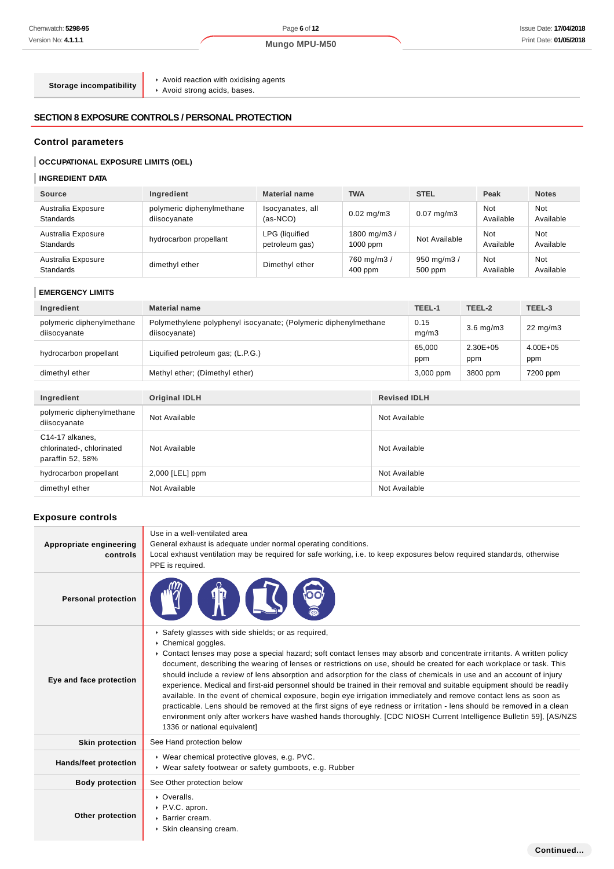**Continued...**

**Storage incompatibility**

 $\blacktriangleright$  Avoid reaction with oxidising agents

Avoid strong acids, bases.

## **SECTION 8 EXPOSURE CONTROLS / PERSONAL PROTECTION**

## **Control parameters**

## **OCCUPATIONAL EXPOSURE LIMITS (OEL)**

## **INGREDIENT DATA**

| <b>Source</b>                          | Ingredient                                | <b>Material name</b>             | <b>TWA</b>                | <b>STEL</b>           | Peak                    | <b>Notes</b>     |
|----------------------------------------|-------------------------------------------|----------------------------------|---------------------------|-----------------------|-------------------------|------------------|
| Australia Exposure<br><b>Standards</b> | polymeric diphenylmethane<br>diisocyanate | Isocyanates, all<br>$(as-NCO)$   | $0.02 \text{ mg/m}$ 3     | $0.07$ mg/m $3$       | <b>Not</b><br>Available | Not<br>Available |
| Australia Exposure<br><b>Standards</b> | hydrocarbon propellant                    | LPG (liquified<br>petroleum gas) | 1800 mg/m3/<br>$1000$ ppm | Not Available         | <b>Not</b><br>Available | Not<br>Available |
| Australia Exposure<br><b>Standards</b> | dimethyl ether                            | Dimethyl ether                   | 760 mg/m3 /<br>$400$ ppm  | 950 mg/m3/<br>500 ppm | <b>Not</b><br>Available | Not<br>Available |

#### **EMERGENCY LIMITS**

| Ingredient                                                       | <b>Material name</b>                                                             |               | TEEL-1        | TEEL-2          | TEEL-3              |
|------------------------------------------------------------------|----------------------------------------------------------------------------------|---------------|---------------|-----------------|---------------------|
| polymeric diphenylmethane<br>diisocyanate                        | Polymethylene polyphenyl isocyanate; (Polymeric diphenylmethane<br>diisocyanate) |               | 0.15<br>mg/m3 | $3.6$ mg/m $3$  | $22 \text{ mg/m}$   |
| hydrocarbon propellant                                           | Liquified petroleum gas; (L.P.G.)                                                |               | 65,000<br>ppm | 2.30E+05<br>ppm | $4.00E + 05$<br>ppm |
| dimethyl ether                                                   | Methyl ether; (Dimethyl ether)                                                   |               | 3,000 ppm     | 3800 ppm        | 7200 ppm            |
|                                                                  |                                                                                  |               |               |                 |                     |
| Ingredient                                                       | <b>Original IDLH</b><br><b>Revised IDLH</b>                                      |               |               |                 |                     |
| polymeric diphenylmethane<br>diisocyanate                        | Not Available                                                                    | Not Available |               |                 |                     |
| C14-17 alkanes,<br>chlorinated-, chlorinated<br>paraffin 52, 58% | Not Available                                                                    | Not Available |               |                 |                     |
| hydrocarbon propellant                                           | $2,000$ [LEL] ppm                                                                | Not Available |               |                 |                     |
| dimethyl ether                                                   | Not Available                                                                    | Not Available |               |                 |                     |

#### **Exposure controls**

| Appropriate engineering<br>controls | Use in a well-ventilated area<br>General exhaust is adequate under normal operating conditions.<br>Local exhaust ventilation may be required for safe working, i.e. to keep exposures below required standards, otherwise<br>PPE is required.                                                                                                                                                                                                                                                                                                                                                                                                                                                                                                                                                                                                                                                                                                                                      |
|-------------------------------------|------------------------------------------------------------------------------------------------------------------------------------------------------------------------------------------------------------------------------------------------------------------------------------------------------------------------------------------------------------------------------------------------------------------------------------------------------------------------------------------------------------------------------------------------------------------------------------------------------------------------------------------------------------------------------------------------------------------------------------------------------------------------------------------------------------------------------------------------------------------------------------------------------------------------------------------------------------------------------------|
| <b>Personal protection</b>          |                                                                                                                                                                                                                                                                                                                                                                                                                                                                                                                                                                                                                                                                                                                                                                                                                                                                                                                                                                                    |
| Eye and face protection             | Safety glasses with side shields; or as required,<br>Chemical goggles.<br>► Contact lenses may pose a special hazard; soft contact lenses may absorb and concentrate irritants. A written policy<br>document, describing the wearing of lenses or restrictions on use, should be created for each workplace or task. This<br>should include a review of lens absorption and adsorption for the class of chemicals in use and an account of injury<br>experience. Medical and first-aid personnel should be trained in their removal and suitable equipment should be readily<br>available. In the event of chemical exposure, begin eye irrigation immediately and remove contact lens as soon as<br>practicable. Lens should be removed at the first signs of eye redness or irritation - lens should be removed in a clean<br>environment only after workers have washed hands thoroughly. [CDC NIOSH Current Intelligence Bulletin 59], [AS/NZS<br>1336 or national equivalent] |
| <b>Skin protection</b>              | See Hand protection below                                                                                                                                                                                                                                                                                                                                                                                                                                                                                                                                                                                                                                                                                                                                                                                                                                                                                                                                                          |
| <b>Hands/feet protection</b>        | ▶ Wear chemical protective gloves, e.g. PVC.<br>▶ Wear safety footwear or safety gumboots, e.g. Rubber                                                                                                                                                                                                                                                                                                                                                                                                                                                                                                                                                                                                                                                                                                                                                                                                                                                                             |
| <b>Body protection</b>              | See Other protection below                                                                                                                                                                                                                                                                                                                                                                                                                                                                                                                                                                                                                                                                                                                                                                                                                                                                                                                                                         |
| Other protection                    | • Overalls.<br>▶ P.V.C. apron.<br>▶ Barrier cream.<br>▶ Skin cleansing cream.                                                                                                                                                                                                                                                                                                                                                                                                                                                                                                                                                                                                                                                                                                                                                                                                                                                                                                      |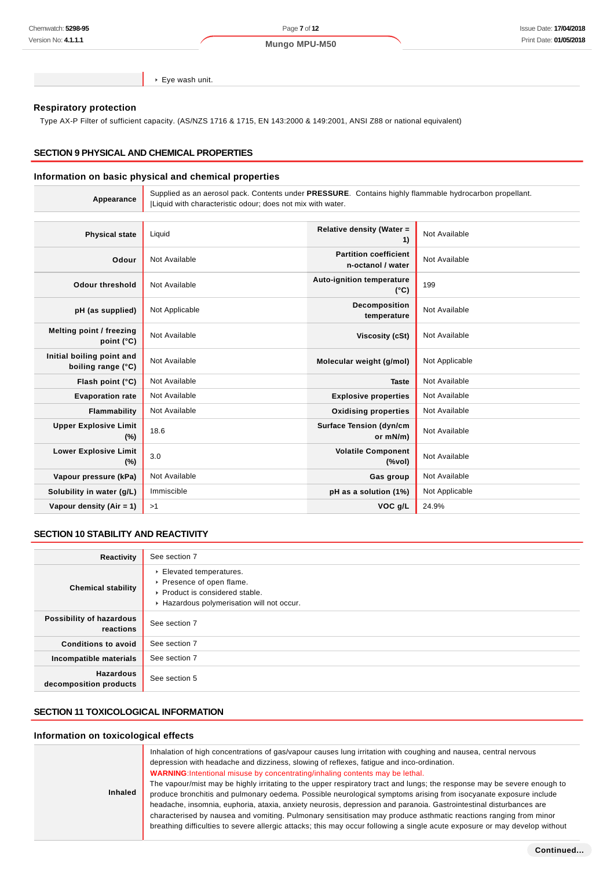Eye wash unit.

### **Respiratory protection**

Type AX-P Filter of sufficient capacity. (AS/NZS 1716 & 1715, EN 143:2000 & 149:2001, ANSI Z88 or national equivalent)

#### **SECTION 9 PHYSICAL AND CHEMICAL PROPERTIES**

#### **Information on basic physical and chemical properties**

| Appearance                                      | Supplied as an aerosol pack. Contents under PRESSURE. Contains highly flammable hydrocarbon propellant.<br>Liquid with characteristic odour; does not mix with water. |                                                   |                |
|-------------------------------------------------|-----------------------------------------------------------------------------------------------------------------------------------------------------------------------|---------------------------------------------------|----------------|
|                                                 |                                                                                                                                                                       |                                                   |                |
| <b>Physical state</b>                           | Liquid                                                                                                                                                                | Relative density (Water =<br>1)                   | Not Available  |
| Odour                                           | Not Available                                                                                                                                                         | <b>Partition coefficient</b><br>n-octanol / water | Not Available  |
| <b>Odour threshold</b>                          | Not Available                                                                                                                                                         | Auto-ignition temperature<br>$(^{\circ}C)$        | 199            |
| pH (as supplied)                                | Not Applicable                                                                                                                                                        | Decomposition<br>temperature                      | Not Available  |
| Melting point / freezing<br>point $(^{\circ}C)$ | Not Available                                                                                                                                                         | Viscosity (cSt)                                   | Not Available  |
| Initial boiling point and<br>boiling range (°C) | Not Available                                                                                                                                                         | Molecular weight (g/mol)                          | Not Applicable |
| Flash point (°C)                                | Not Available                                                                                                                                                         | <b>Taste</b>                                      | Not Available  |
| <b>Evaporation rate</b>                         | Not Available                                                                                                                                                         | <b>Explosive properties</b>                       | Not Available  |
| Flammability                                    | Not Available                                                                                                                                                         | <b>Oxidising properties</b>                       | Not Available  |
| <b>Upper Explosive Limit</b><br>(%)             | 18.6                                                                                                                                                                  | <b>Surface Tension (dyn/cm</b><br>or mN/m)        | Not Available  |
| <b>Lower Explosive Limit</b><br>$(\%)$          | 3.0                                                                                                                                                                   | <b>Volatile Component</b><br>$(\%$ vol)           | Not Available  |
| Vapour pressure (kPa)                           | Not Available                                                                                                                                                         | Gas group                                         | Not Available  |
| Solubility in water (g/L)                       | Immiscible                                                                                                                                                            | pH as a solution (1%)                             | Not Applicable |
| Vapour density $(Air = 1)$                      | >1                                                                                                                                                                    | VOC g/L                                           | 24.9%          |

#### **SECTION 10 STABILITY AND REACTIVITY**

| Reactivity                                 | See section 7                                                                                                                      |
|--------------------------------------------|------------------------------------------------------------------------------------------------------------------------------------|
| <b>Chemical stability</b>                  | Elevated temperatures.<br>▶ Presence of open flame.<br>▶ Product is considered stable.<br>Hazardous polymerisation will not occur. |
| Possibility of hazardous<br>reactions      | See section 7                                                                                                                      |
| <b>Conditions to avoid</b>                 | See section 7                                                                                                                      |
| Incompatible materials                     | See section 7                                                                                                                      |
| <b>Hazardous</b><br>decomposition products | See section 5                                                                                                                      |

## **SECTION 11 TOXICOLOGICAL INFORMATION**

#### **Information on toxicological effects**

| <b>Inhaled</b> |
|----------------|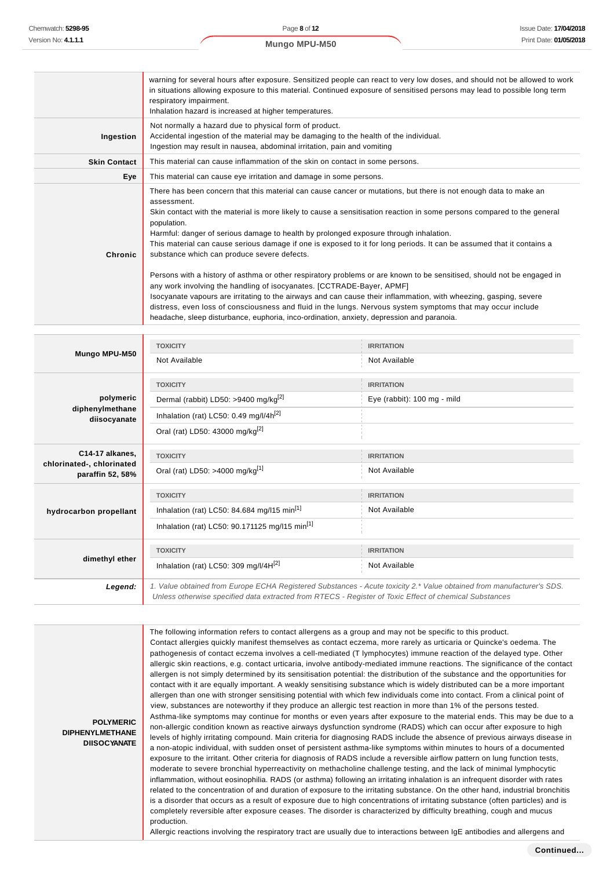**POLYMERIC DIPHENYLMETHANE DIISOCYANATE**

|                     | warning for several hours after exposure. Sensitized people can react to very low doses, and should not be allowed to work<br>in situations allowing exposure to this material. Continued exposure of sensitised persons may lead to possible long term<br>respiratory impairment.<br>Inhalation hazard is increased at higher temperatures.                                                                                                                                                                                                                                                                                                                                                                                                                                                                                                                                                                                                                                                                                                                                   |
|---------------------|--------------------------------------------------------------------------------------------------------------------------------------------------------------------------------------------------------------------------------------------------------------------------------------------------------------------------------------------------------------------------------------------------------------------------------------------------------------------------------------------------------------------------------------------------------------------------------------------------------------------------------------------------------------------------------------------------------------------------------------------------------------------------------------------------------------------------------------------------------------------------------------------------------------------------------------------------------------------------------------------------------------------------------------------------------------------------------|
| Ingestion           | Not normally a hazard due to physical form of product.<br>Accidental ingestion of the material may be damaging to the health of the individual.<br>Ingestion may result in nausea, abdominal irritation, pain and vomiting                                                                                                                                                                                                                                                                                                                                                                                                                                                                                                                                                                                                                                                                                                                                                                                                                                                     |
| <b>Skin Contact</b> | This material can cause inflammation of the skin on contact in some persons.                                                                                                                                                                                                                                                                                                                                                                                                                                                                                                                                                                                                                                                                                                                                                                                                                                                                                                                                                                                                   |
| Eye                 | This material can cause eye irritation and damage in some persons.                                                                                                                                                                                                                                                                                                                                                                                                                                                                                                                                                                                                                                                                                                                                                                                                                                                                                                                                                                                                             |
| Chronic             | There has been concern that this material can cause cancer or mutations, but there is not enough data to make an<br>assessment.<br>Skin contact with the material is more likely to cause a sensitisation reaction in some persons compared to the general<br>population.<br>Harmful: danger of serious damage to health by prolonged exposure through inhalation.<br>This material can cause serious damage if one is exposed to it for long periods. It can be assumed that it contains a<br>substance which can produce severe defects.<br>Persons with a history of asthma or other respiratory problems or are known to be sensitised, should not be engaged in<br>any work involving the handling of isocyanates. [CCTRADE-Bayer, APMF]<br>Isocyanate vapours are irritating to the airways and can cause their inflammation, with wheezing, gasping, severe<br>distress, even loss of consciousness and fluid in the lungs. Nervous system symptoms that may occur include<br>headache, sleep disturbance, euphoria, inco-ordination, anxiety, depression and paranoia. |

| Mungo MPU-M50                                 | <b>TOXICITY</b>                                                                                                                                                                                                                 | <b>IRRITATION</b>           |  |
|-----------------------------------------------|---------------------------------------------------------------------------------------------------------------------------------------------------------------------------------------------------------------------------------|-----------------------------|--|
|                                               | Not Available                                                                                                                                                                                                                   | Not Available               |  |
|                                               | <b>TOXICITY</b>                                                                                                                                                                                                                 | <b>IRRITATION</b>           |  |
| polymeric                                     | Dermal (rabbit) LD50: >9400 mg/kg <sup>[2]</sup>                                                                                                                                                                                | Eye (rabbit): 100 mg - mild |  |
| diphenylmethane<br>diisocyanate               | Inhalation (rat) LC50: 0.49 mg/l/4h <sup>[2]</sup>                                                                                                                                                                              |                             |  |
|                                               | Oral (rat) LD50: 43000 mg/kg <sup>[2]</sup>                                                                                                                                                                                     |                             |  |
| C14-17 alkanes,                               | <b>TOXICITY</b>                                                                                                                                                                                                                 | <b>IRRITATION</b>           |  |
| chlorinated-, chlorinated<br>paraffin 52, 58% | Oral (rat) LD50: >4000 mg/kg <sup>[1]</sup>                                                                                                                                                                                     | Not Available               |  |
|                                               | <b>TOXICITY</b>                                                                                                                                                                                                                 | <b>IRRITATION</b>           |  |
| hydrocarbon propellant                        | Inhalation (rat) LC50: 84.684 mg/l15 min <sup>[1]</sup>                                                                                                                                                                         | Not Available               |  |
|                                               | Inhalation (rat) LC50: 90.171125 mg/l15 min <sup>[1]</sup>                                                                                                                                                                      |                             |  |
| dimethyl ether                                | <b>TOXICITY</b>                                                                                                                                                                                                                 | <b>IRRITATION</b>           |  |
|                                               | Inhalation (rat) LC50: 309 mg/l/4H <sup>[2]</sup>                                                                                                                                                                               | Not Available               |  |
| Legend:                                       | 1. Value obtained from Europe ECHA Registered Substances - Acute toxicity 2.* Value obtained from manufacturer's SDS.<br>Unless otherwise specified data extracted from RTECS - Register of Toxic Effect of chemical Substances |                             |  |

The following information refers to contact allergens as a group and may not be specific to this product. Contact allergies quickly manifest themselves as contact eczema, more rarely as urticaria or Quincke's oedema. The pathogenesis of contact eczema involves a cell-mediated (T lymphocytes) immune reaction of the delayed type. Other allergic skin reactions, e.g. contact urticaria, involve antibody-mediated immune reactions. The significance of the contact allergen is not simply determined by its sensitisation potential: the distribution of the substance and the opportunities for contact with it are equally important. A weakly sensitising substance which is widely distributed can be a more important allergen than one with stronger sensitising potential with which few individuals come into contact. From a clinical point of view, substances are noteworthy if they produce an allergic test reaction in more than 1% of the persons tested. Asthma-like symptoms may continue for months or even years after exposure to the material ends. This may be due to a non-allergic condition known as reactive airways dysfunction syndrome (RADS) which can occur after exposure to high levels of highly irritating compound. Main criteria for diagnosing RADS include the absence of previous airways disease in a non-atopic individual, with sudden onset of persistent asthma-like symptoms within minutes to hours of a documented exposure to the irritant. Other criteria for diagnosis of RADS include a reversible airflow pattern on lung function tests, moderate to severe bronchial hyperreactivity on methacholine challenge testing, and the lack of minimal lymphocytic inflammation, without eosinophilia. RADS (or asthma) following an irritating inhalation is an infrequent disorder with rates related to the concentration of and duration of exposure to the irritating substance. On the other hand, industrial bronchitis is a disorder that occurs as a result of exposure due to high concentrations of irritating substance (often particles) and is completely reversible after exposure ceases. The disorder is characterized by difficulty breathing, cough and mucus production.

Allergic reactions involving the respiratory tract are usually due to interactions between IgE antibodies and allergens and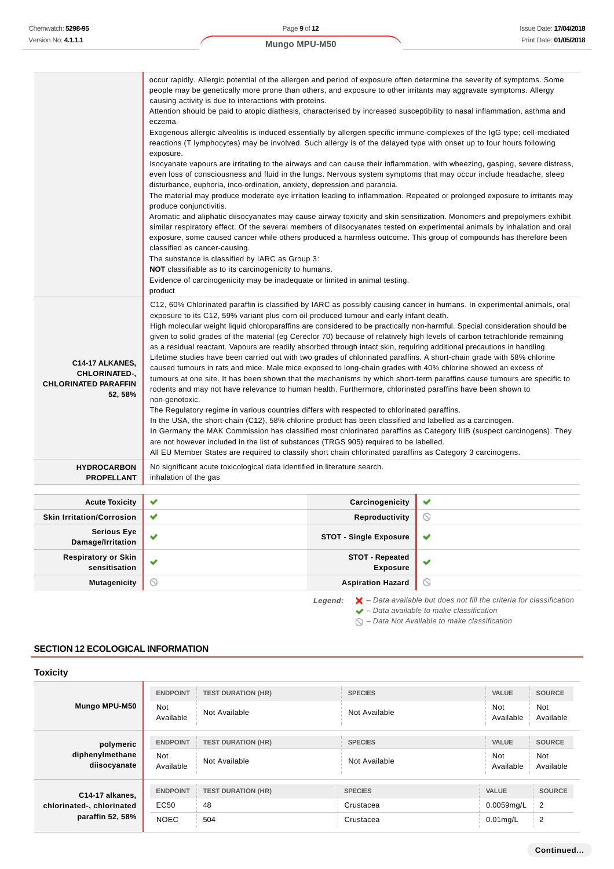|                                             | occur rapidly. Allergic potential of the allergen and period of exposure often determine the severity of symptoms. Some<br>people may be genetically more prone than others, and exposure to other irritants may aggravate symptoms. Allergy                                                                                                                      |                                                                                                                                                                                                                                                                                                                               |                                                                                                                           |  |  |  |
|---------------------------------------------|-------------------------------------------------------------------------------------------------------------------------------------------------------------------------------------------------------------------------------------------------------------------------------------------------------------------------------------------------------------------|-------------------------------------------------------------------------------------------------------------------------------------------------------------------------------------------------------------------------------------------------------------------------------------------------------------------------------|---------------------------------------------------------------------------------------------------------------------------|--|--|--|
|                                             | causing activity is due to interactions with proteins.<br>Attention should be paid to atopic diathesis, characterised by increased susceptibility to nasal inflammation, asthma and                                                                                                                                                                               |                                                                                                                                                                                                                                                                                                                               |                                                                                                                           |  |  |  |
|                                             | eczema.                                                                                                                                                                                                                                                                                                                                                           |                                                                                                                                                                                                                                                                                                                               |                                                                                                                           |  |  |  |
|                                             | Exogenous allergic alveolitis is induced essentially by allergen specific immune-complexes of the IgG type; cell-mediated<br>reactions (T lymphocytes) may be involved. Such allergy is of the delayed type with onset up to four hours following                                                                                                                 |                                                                                                                                                                                                                                                                                                                               |                                                                                                                           |  |  |  |
|                                             | exposure.                                                                                                                                                                                                                                                                                                                                                         |                                                                                                                                                                                                                                                                                                                               |                                                                                                                           |  |  |  |
|                                             |                                                                                                                                                                                                                                                                                                                                                                   | Isocyanate vapours are irritating to the airways and can cause their inflammation, with wheezing, gasping, severe distress,<br>even loss of consciousness and fluid in the lungs. Nervous system symptoms that may occur include headache, sleep<br>disturbance, euphoria, inco-ordination, anxiety, depression and paranoia. |                                                                                                                           |  |  |  |
|                                             | produce conjunctivitis.                                                                                                                                                                                                                                                                                                                                           |                                                                                                                                                                                                                                                                                                                               | The material may produce moderate eye irritation leading to inflammation. Repeated or prolonged exposure to irritants may |  |  |  |
|                                             | Aromatic and aliphatic diisocyanates may cause airway toxicity and skin sensitization. Monomers and prepolymers exhibit                                                                                                                                                                                                                                           |                                                                                                                                                                                                                                                                                                                               |                                                                                                                           |  |  |  |
|                                             | similar respiratory effect. Of the several members of diisocyanates tested on experimental animals by inhalation and oral<br>exposure, some caused cancer while others produced a harmless outcome. This group of compounds has therefore been                                                                                                                    |                                                                                                                                                                                                                                                                                                                               |                                                                                                                           |  |  |  |
|                                             | classified as cancer-causing.                                                                                                                                                                                                                                                                                                                                     |                                                                                                                                                                                                                                                                                                                               |                                                                                                                           |  |  |  |
|                                             | The substance is classified by IARC as Group 3:                                                                                                                                                                                                                                                                                                                   |                                                                                                                                                                                                                                                                                                                               |                                                                                                                           |  |  |  |
|                                             | NOT classifiable as to its carcinogenicity to humans.                                                                                                                                                                                                                                                                                                             |                                                                                                                                                                                                                                                                                                                               |                                                                                                                           |  |  |  |
|                                             | Evidence of carcinogenicity may be inadequate or limited in animal testing.<br>product                                                                                                                                                                                                                                                                            |                                                                                                                                                                                                                                                                                                                               |                                                                                                                           |  |  |  |
|                                             | C12, 60% Chlorinated paraffin is classified by IARC as possibly causing cancer in humans. In experimental animals, oral                                                                                                                                                                                                                                           |                                                                                                                                                                                                                                                                                                                               |                                                                                                                           |  |  |  |
|                                             | exposure to its C12, 59% variant plus corn oil produced tumour and early infant death.                                                                                                                                                                                                                                                                            |                                                                                                                                                                                                                                                                                                                               |                                                                                                                           |  |  |  |
|                                             | High molecular weight liquid chloroparaffins are considered to be practically non-harmful. Special consideration should be                                                                                                                                                                                                                                        |                                                                                                                                                                                                                                                                                                                               |                                                                                                                           |  |  |  |
|                                             | given to solid grades of the material (eg Cereclor 70) because of relatively high levels of carbon tetrachloride remaining<br>as a residual reactant. Vapours are readily absorbed through intact skin, requiring additional precautions in handling.                                                                                                             |                                                                                                                                                                                                                                                                                                                               |                                                                                                                           |  |  |  |
| C14-17 ALKANES,                             | Lifetime studies have been carried out with two grades of chlorinated paraffins. A short-chain grade with 58% chlorine<br>caused tumours in rats and mice. Male mice exposed to long-chain grades with 40% chlorine showed an excess of<br>tumours at one site. It has been shown that the mechanisms by which short-term paraffins cause tumours are specific to |                                                                                                                                                                                                                                                                                                                               |                                                                                                                           |  |  |  |
| CHLORINATED-,                               |                                                                                                                                                                                                                                                                                                                                                                   |                                                                                                                                                                                                                                                                                                                               |                                                                                                                           |  |  |  |
| <b>CHLORINATED PARAFFIN</b>                 | rodents and may not have relevance to human health. Furthermore, chlorinated paraffins have been shown to                                                                                                                                                                                                                                                         |                                                                                                                                                                                                                                                                                                                               |                                                                                                                           |  |  |  |
| 52, 58%                                     | non-genotoxic.                                                                                                                                                                                                                                                                                                                                                    |                                                                                                                                                                                                                                                                                                                               |                                                                                                                           |  |  |  |
|                                             | The Regulatory regime in various countries differs with respected to chlorinated paraffins.<br>In the USA, the short-chain (C12), 58% chlorine product has been classified and labelled as a carcinogen.                                                                                                                                                          |                                                                                                                                                                                                                                                                                                                               |                                                                                                                           |  |  |  |
|                                             |                                                                                                                                                                                                                                                                                                                                                                   |                                                                                                                                                                                                                                                                                                                               | In Germany the MAK Commission has classified most chlorinated paraffins as Category IIIB (suspect carcinogens). They      |  |  |  |
|                                             | are not however included in the list of substances (TRGS 905) required to be labelled.                                                                                                                                                                                                                                                                            |                                                                                                                                                                                                                                                                                                                               |                                                                                                                           |  |  |  |
|                                             | All EU Member States are required to classify short chain chlorinated paraffins as Category 3 carcinogens.                                                                                                                                                                                                                                                        |                                                                                                                                                                                                                                                                                                                               |                                                                                                                           |  |  |  |
| <b>HYDROCARBON</b><br><b>PROPELLANT</b>     | No significant acute toxicological data identified in literature search.<br>inhalation of the gas                                                                                                                                                                                                                                                                 |                                                                                                                                                                                                                                                                                                                               |                                                                                                                           |  |  |  |
|                                             |                                                                                                                                                                                                                                                                                                                                                                   |                                                                                                                                                                                                                                                                                                                               |                                                                                                                           |  |  |  |
| <b>Acute Toxicity</b>                       | ✔                                                                                                                                                                                                                                                                                                                                                                 | Carcinogenicity                                                                                                                                                                                                                                                                                                               | ✔                                                                                                                         |  |  |  |
| <b>Skin Irritation/Corrosion</b>            | ✔                                                                                                                                                                                                                                                                                                                                                                 | Reproductivity                                                                                                                                                                                                                                                                                                                | O                                                                                                                         |  |  |  |
| <b>Serious Eye</b><br>Damage/Irritation     | v                                                                                                                                                                                                                                                                                                                                                                 | <b>STOT - Single Exposure</b>                                                                                                                                                                                                                                                                                                 | ✔                                                                                                                         |  |  |  |
| <b>Respiratory or Skin</b><br>sensitisation | ✔                                                                                                                                                                                                                                                                                                                                                                 | <b>STOT - Repeated</b><br><b>Exposure</b>                                                                                                                                                                                                                                                                                     | ✔                                                                                                                         |  |  |  |
| <b>Mutagenicity</b>                         | $\circlearrowright$                                                                                                                                                                                                                                                                                                                                               | <b>Aspiration Hazard</b>                                                                                                                                                                                                                                                                                                      | $\odot$                                                                                                                   |  |  |  |
|                                             |                                                                                                                                                                                                                                                                                                                                                                   |                                                                                                                                                                                                                                                                                                                               |                                                                                                                           |  |  |  |

Legend:  $\mathsf{X}$  - Data available but does not fill the criteria for classification

 $\blacktriangleright$  – Data available to make classification

 $\bigcirc$  – Data Not Available to make classification

## **SECTION 12 ECOLOGICAL INFORMATION**

## **Toxicity**

| Mungo MPU-M50                                                    | <b>ENDPOINT</b><br><b>TEST DURATION (HR)</b><br><b>Not</b><br>Not Available<br>Available |                                        | <b>SPECIES</b><br>Not Available          | <b>VALUE</b><br>Not<br>Available          | <b>SOURCE</b><br><b>Not</b><br>Available |
|------------------------------------------------------------------|------------------------------------------------------------------------------------------|----------------------------------------|------------------------------------------|-------------------------------------------|------------------------------------------|
| polymeric<br>diphenylmethane<br>diisocyanate                     | <b>ENDPOINT</b><br><b>TEST DURATION (HR)</b><br><b>Not</b><br>Not Available<br>Available |                                        | <b>SPECIES</b><br>Not Available          | <b>VALUE</b><br><b>Not</b><br>Available   | <b>SOURCE</b><br>Not<br>Available        |
| C14-17 alkanes,<br>chlorinated-, chlorinated<br>paraffin 52, 58% | <b>ENDPOINT</b><br>EC50<br><b>NOEC</b>                                                   | <b>TEST DURATION (HR)</b><br>48<br>504 | <b>SPECIES</b><br>Crustacea<br>Crustacea | <b>VALUE</b><br>0.0059mg/L<br>$0.01$ mg/L | <b>SOURCE</b><br>$\overline{2}$<br>2     |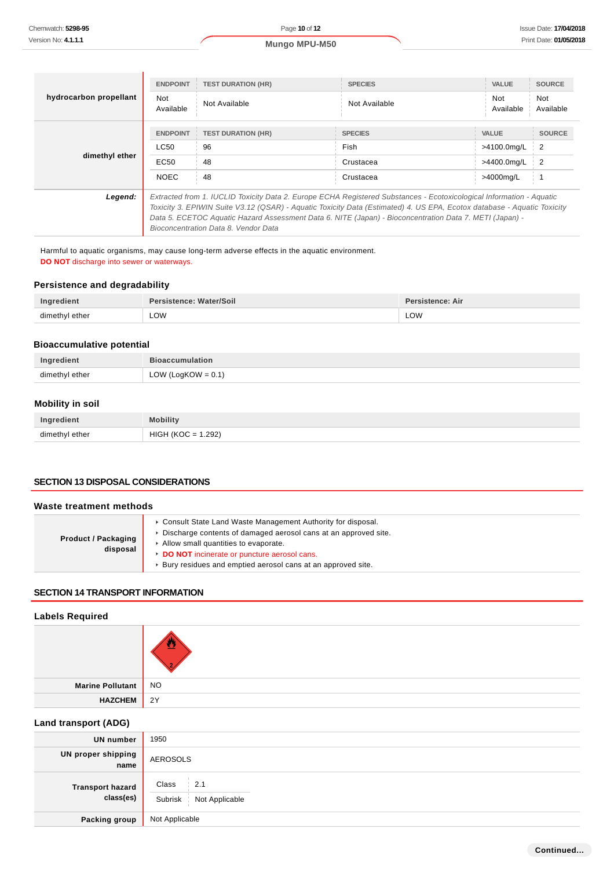|                        | <b>ENDPOINT</b>                                                                                                                                                                                                                                                                                                                                                                                    | <b>TEST DURATION (HR)</b> | <b>SPECIES</b> | <b>VALUE</b>     | <b>SOURCE</b>    |
|------------------------|----------------------------------------------------------------------------------------------------------------------------------------------------------------------------------------------------------------------------------------------------------------------------------------------------------------------------------------------------------------------------------------------------|---------------------------|----------------|------------------|------------------|
| hydrocarbon propellant | <b>Not</b><br>Available                                                                                                                                                                                                                                                                                                                                                                            | Not Available             | Not Available  | Not<br>Available | Not<br>Available |
|                        | <b>ENDPOINT</b>                                                                                                                                                                                                                                                                                                                                                                                    | <b>TEST DURATION (HR)</b> | <b>SPECIES</b> | <b>VALUE</b>     | <b>SOURCE</b>    |
| dimethyl ether         | LC50                                                                                                                                                                                                                                                                                                                                                                                               | 96                        | Fish           | >4100.0mg/L      | $\frac{1}{2}$    |
|                        | EC <sub>50</sub>                                                                                                                                                                                                                                                                                                                                                                                   | 48                        | Crustacea      | >4400.0mg/L      | $\overline{2}$   |
|                        | <b>NOEC</b>                                                                                                                                                                                                                                                                                                                                                                                        | 48                        | Crustacea      | >4000mg/L        |                  |
| Legend:                | Extracted from 1. IUCLID Toxicity Data 2. Europe ECHA Registered Substances - Ecotoxicological Information - Aquatic<br>Toxicity 3. EPIWIN Suite V3.12 (QSAR) - Aquatic Toxicity Data (Estimated) 4. US EPA, Ecotox database - Aquatic Toxicity<br>Data 5. ECETOC Aquatic Hazard Assessment Data 6. NITE (Japan) - Bioconcentration Data 7. METI (Japan) -<br>Bioconcentration Data 8. Vendor Data |                           |                |                  |                  |

Harmful to aquatic organisms, may cause long-term adverse effects in the aquatic environment. **DO NOT** discharge into sewer or waterways.

#### **Persistence and degradability**

| Ingredient     | Persistence: Water/Soil | Persistence: Air |
|----------------|-------------------------|------------------|
| dimethyl ether | LOW                     | LOW              |

#### **Bioaccumulative potential**

| Ingredient     | <b>Bioaccumulation</b> |
|----------------|------------------------|
| dimethyl ether | LOW (LogKOW = $0.1$ )  |

## **Mobility in soil**

| Ingredient     | <b>Mobility</b>      |
|----------------|----------------------|
| dimethyl ether | $HIGH (KOC = 1.292)$ |

## **SECTION 13 DISPOSAL CONSIDERATIONS**

#### **Waste treatment methods Product / Packaging disposal** Consult State Land Waste Management Authority for disposal. Discharge contents of damaged aerosol cans at an approved site. Allow small quantities to evaporate. **DO NOT** incinerate or puncture aerosol cans. Bury residues and emptied aerosol cans at an approved site.

### **SECTION 14 TRANSPORT INFORMATION**

## **Labels Required**

| <b>Marine Pollutant</b>           | <b>NO</b>       |
|-----------------------------------|-----------------|
| <b>HAZCHEM</b>                    | 2Y              |
| <b>Land transport (ADG)</b>       |                 |
| <b>UN</b> number                  | 1950            |
| <b>UN proper shipping</b><br>nomo | <b>AEROSOLS</b> |

| <b>ON biober surpping</b><br>name    | AEROSOLS                                       |
|--------------------------------------|------------------------------------------------|
| <b>Transport hazard</b><br>class(es) | Class<br>$\pm 2.1$<br>Subrisk   Not Applicable |
| Packing group                        | Not Applicable                                 |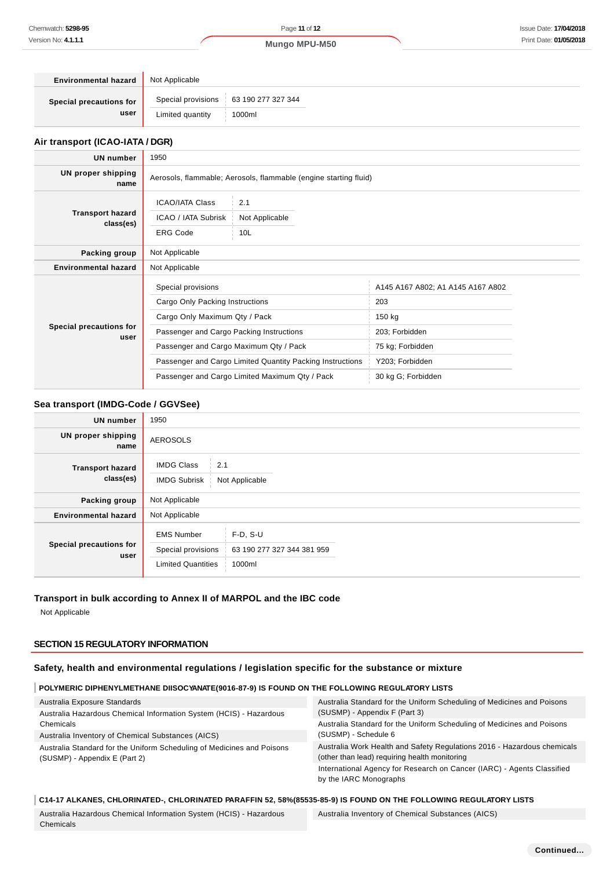| <b>Environmental hazard</b> | Not Applicable                          |
|-----------------------------|-----------------------------------------|
| Special precautions for     | Special provisions   63 190 277 327 344 |
| user                        | Limited quantity<br>1000ml              |

## **Air transport (ICAO-IATA / DGR)**

| <b>UN number</b>                     | 1950                                                                                             |                                                           |                                   |  |
|--------------------------------------|--------------------------------------------------------------------------------------------------|-----------------------------------------------------------|-----------------------------------|--|
| UN proper shipping<br>name           | Aerosols, flammable; Aerosols, flammable (engine starting fluid)                                 |                                                           |                                   |  |
| <b>Transport hazard</b><br>class(es) | <b>ICAO/IATA Class</b><br>2.1<br>ICAO / IATA Subrisk<br>Not Applicable<br><b>ERG Code</b><br>10L |                                                           |                                   |  |
| Packing group                        | Not Applicable                                                                                   |                                                           |                                   |  |
| <b>Environmental hazard</b>          | Not Applicable                                                                                   |                                                           |                                   |  |
|                                      | Special provisions                                                                               |                                                           | A145 A167 A802; A1 A145 A167 A802 |  |
|                                      | Cargo Only Packing Instructions                                                                  |                                                           | 203                               |  |
|                                      | Cargo Only Maximum Qty / Pack                                                                    |                                                           | 150 kg                            |  |
| Special precautions for<br>user      | Passenger and Cargo Packing Instructions                                                         |                                                           | 203; Forbidden                    |  |
|                                      | Passenger and Cargo Maximum Qty / Pack                                                           |                                                           | 75 kg; Forbidden                  |  |
|                                      |                                                                                                  | Passenger and Cargo Limited Quantity Packing Instructions | Y203; Forbidden                   |  |
|                                      | Passenger and Cargo Limited Maximum Qty / Pack                                                   |                                                           | 30 kg G; Forbidden                |  |

### **Sea transport (IMDG-Code / GGVSee)**

| <b>UN number</b>                     | 1950                                                                 |                                                    |  |  |  |
|--------------------------------------|----------------------------------------------------------------------|----------------------------------------------------|--|--|--|
| <b>UN proper shipping</b><br>name    | <b>AEROSOLS</b>                                                      |                                                    |  |  |  |
| <b>Transport hazard</b><br>class(es) | <b>IMDG Class</b><br>2.1<br><b>IMDG Subrisk</b><br>Not Applicable    |                                                    |  |  |  |
| Packing group                        | Not Applicable                                                       |                                                    |  |  |  |
| <b>Environmental hazard</b>          | Not Applicable                                                       |                                                    |  |  |  |
| Special precautions for<br>user      | <b>EMS Number</b><br>Special provisions<br><b>Limited Quantities</b> | $F-D, S-U$<br>63 190 277 327 344 381 959<br>1000ml |  |  |  |

# **Transport in bulk according to Annex II of MARPOL and the IBC code**

Not Applicable

## **SECTION 15 REGULATORY INFORMATION**

## **Safety, health and environmental regulations / legislation specific for the substance or mixture**

#### **POLYMERIC DIPHENYLMETHANE DIISOCYANATE(9016-87-9) IS FOUND ON THE FOLLOWING REGULATORY LISTS**

| Australia Exposure Standards                                                                            | Australia Standard for the Uniform Scheduling of Medicines and Poisons                                                   |  |  |
|---------------------------------------------------------------------------------------------------------|--------------------------------------------------------------------------------------------------------------------------|--|--|
| Australia Hazardous Chemical Information System (HCIS) - Hazardous                                      | (SUSMP) - Appendix F (Part 3)                                                                                            |  |  |
| Chemicals                                                                                               | Australia Standard for the Uniform Scheduling of Medicines and Poisons<br>(SUSMP) - Schedule 6                           |  |  |
| Australia Inventory of Chemical Substances (AICS)                                                       |                                                                                                                          |  |  |
| Australia Standard for the Uniform Scheduling of Medicines and Poisons<br>(SUSMP) - Appendix E (Part 2) | Australia Work Health and Safety Regulations 2016 - Hazardous chemicals<br>(other than lead) requiring health monitoring |  |  |
|                                                                                                         | International Agency for Research on Cancer (IARC) - Agents Classified<br>by the IARC Monographs                         |  |  |

#### **C14-17 ALKANES, CHLORINATED-, CHLORINATED PARAFFIN 52, 58%(85535-85-9) IS FOUND ON THE FOLLOWING REGULATORY LISTS**

Australia Hazardous Chemical Information System (HCIS) - Hazardous Chemicals